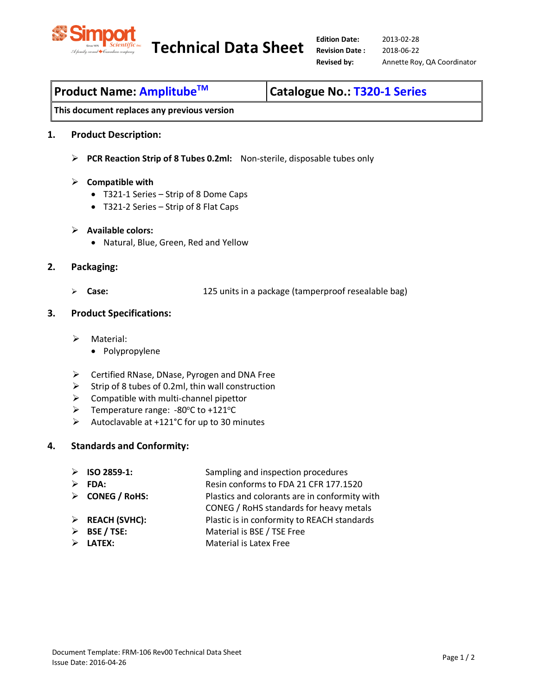

# **Technical Data Sheet** *Edition Date:*

# **Product Name: AmplitubeTM Catalogue No.: T320-1 Series**

**This document replaces any previous version**

### **1. Product Description:**

**PCR Reaction Strip of 8 Tubes 0.2ml:** Non-sterile, disposable tubes only

## **Compatible with**

- T321-1 Series Strip of 8 Dome Caps
- T321-2 Series Strip of 8 Flat Caps

### **Available colors:**

• Natural, Blue, Green, Red and Yellow

# **2. Packaging:**

**Case:** 125 units in a package (tamperproof resealable bag)

## **3. Product Specifications:**

- > Material:
	- Polypropylene
- $\triangleright$  Certified RNase, DNase, Pyrogen and DNA Free
- $\triangleright$  Strip of 8 tubes of 0.2ml, thin wall construction
- $\triangleright$  Compatible with multi-channel pipettor
- > Temperature range: -80°C to +121°C
- $\triangleright$  Autoclavable at +121°C for up to 30 minutes

# **4. Standards and Conformity:**

| ➤                     | ISO 2859-1:                    | Sampling and inspection procedures            |
|-----------------------|--------------------------------|-----------------------------------------------|
|                       | FDA:                           | Resin conforms to FDA 21 CFR 177.1520         |
|                       | $\triangleright$ CONEG / RoHS: | Plastics and colorants are in conformity with |
|                       |                                | CONEG / RoHS standards for heavy metals       |
|                       | $\triangleright$ REACH (SVHC): | Plastic is in conformity to REACH standards   |
| $\blacktriangleright$ | <b>BSE / TSE:</b>              | Material is BSE / TSE Free                    |
|                       | LATEX:                         | <b>Material is Latex Free</b>                 |